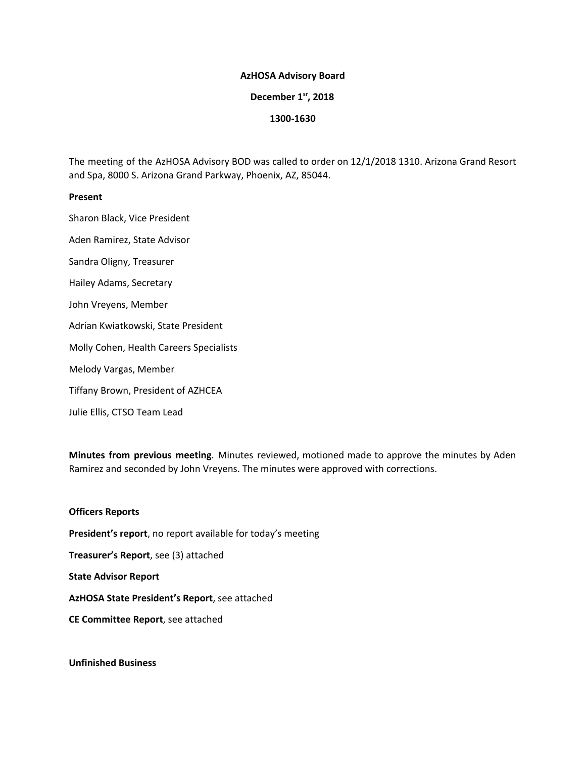#### **AzHOSA Advisory Board**

# **December 1 sr , 2018**

#### **1300-1630**

The meeting of the AzHOSA Advisory BOD was called to order on 12/1/2018 1310. Arizona Grand Resort and Spa, 8000 S. Arizona Grand Parkway, Phoenix, AZ, 85044.

#### **Present**

Sharon Black, Vice President Aden Ramirez, State Advisor Sandra Oligny, Treasurer Hailey Adams, Secretary John Vreyens, Member Adrian Kwiatkowski, State President Molly Cohen, Health Careers Specialists Melody Vargas, Member Tiffany Brown, President of AZHCEA Julie Ellis, CTSO Team Lead

**Minutes from previous meeting**. Minutes reviewed, motioned made to approve the minutes by Aden Ramirez and seconded by John Vreyens. The minutes were approved with corrections.

## **Officers Reports**

**President's report**, no report available for today's meeting

**Treasurer's Report**, see (3) attached

**State Advisor Report**

**AzHOSA State President's Report**, see attached

**CE Committee Report**, see attached

**Unfinished Business**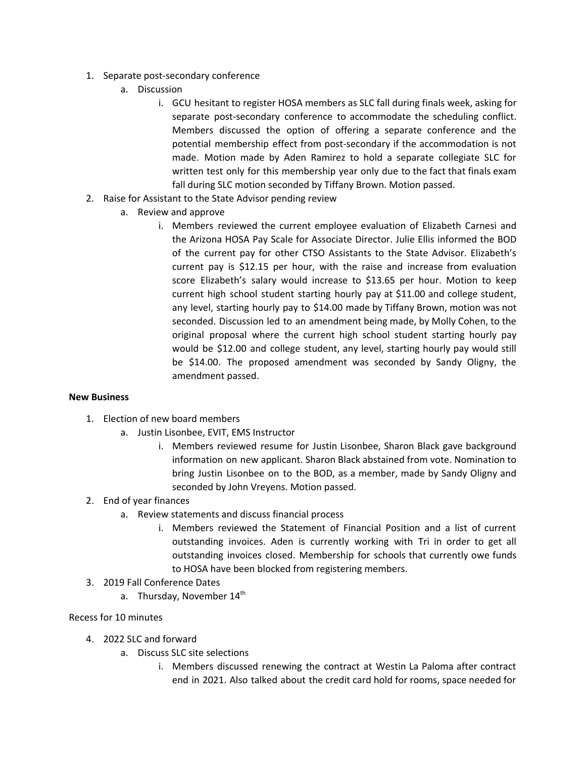- 1. Separate post-secondary conference
	- a. Discussion
		- i. GCU hesitant to register HOSA members as SLC fall during finals week, asking for separate post-secondary conference to accommodate the scheduling conflict. Members discussed the option of offering a separate conference and the potential membership effect from post-secondary if the accommodation is not made. Motion made by Aden Ramirez to hold a separate collegiate SLC for written test only for this membership year only due to the fact that finals exam fall during SLC motion seconded by Tiffany Brown. Motion passed.
- 2. Raise for Assistant to the State Advisor pending review
	- a. Review and approve
		- i. Members reviewed the current employee evaluation of Elizabeth Carnesi and the Arizona HOSA Pay Scale for Associate Director. Julie Ellis informed the BOD of the current pay for other CTSO Assistants to the State Advisor. Elizabeth's current pay is \$12.15 per hour, with the raise and increase from evaluation score Elizabeth's salary would increase to \$13.65 per hour. Motion to keep current high school student starting hourly pay at \$11.00 and college student, any level, starting hourly pay to \$14.00 made by Tiffany Brown, motion was not seconded. Discussion led to an amendment being made, by Molly Cohen, to the original proposal where the current high school student starting hourly pay would be \$12.00 and college student, any level, starting hourly pay would still be \$14.00. The proposed amendment was seconded by Sandy Oligny, the amendment passed.

## **New Business**

- 1. Election of new board members
	- a. Justin Lisonbee, EVIT, EMS Instructor
		- i. Members reviewed resume for Justin Lisonbee, Sharon Black gave background information on new applicant. Sharon Black abstained from vote. Nomination to bring Justin Lisonbee on to the BOD, as a member, made by Sandy Oligny and seconded by John Vreyens. Motion passed.

## 2. End of year finances

- a. Review statements and discuss financial process
	- i. Members reviewed the Statement of Financial Position and a list of current outstanding invoices. Aden is currently working with Tri in order to get all outstanding invoices closed. Membership for schools that currently owe funds to HOSA have been blocked from registering members.
- 3. 2019 Fall Conference Dates
	- a. Thursday, November 14<sup>th</sup>

## Recess for 10 minutes

- 4. 2022 SLC and forward
	- a. Discuss SLC site selections
		- i. Members discussed renewing the contract at Westin La Paloma after contract end in 2021. Also talked about the credit card hold for rooms, space needed for